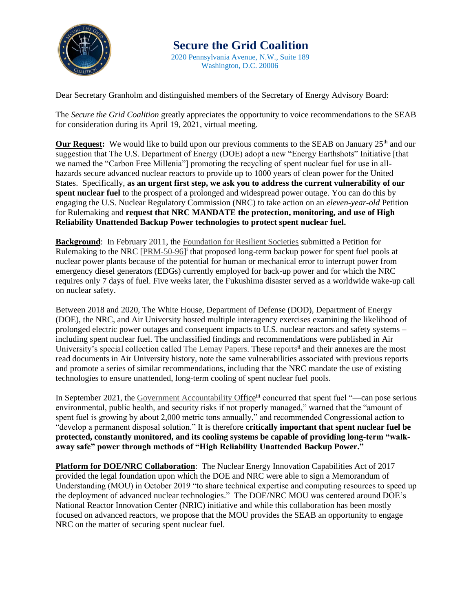

 **Secure the Grid Coalition** 2020 Pennsylvania Avenue, N.W., Suite 189 Washington, D.C. 20006

Dear Secretary Granholm and distinguished members of the Secretary of Energy Advisory Board:

The *Secure the Grid Coalition* greatly appreciates the opportunity to voice recommendations to the SEAB for consideration during its April 19, 2021, virtual meeting.

**Our Request:** We would like to build upon our previous comments to the SEAB on January 25<sup>th</sup> and our suggestion that The U.S. Department of Energy (DOE) adopt a new "Energy Earthshots" Initiative [that we named the "Carbon Free Millenia"] promoting the recycling of spent nuclear fuel for use in allhazards secure advanced nuclear reactors to provide up to 1000 years of clean power for the United States. Specifically, **as an urgent first step, we ask you to address the current vulnerability of our spent nuclear fuel** to the prospect of a prolonged and widespread power outage. You can do this by engaging the U.S. Nuclear Regulatory Commission (NRC) to take action on an *eleven-year-old* Petition for Rulemaking and **request that NRC MANDATE the protection, monitoring, and use of High Reliability Unattended Backup Power technologies to protect spent nuclear fuel.**

**Background**: In February 2011, the [Foundation for Resilient Societies](https://www.resilientsocieties.org/) submitted a Petition for Rulemaking to the NRC [\[PRM-50-96\]](https://www.resilientsocieties.org/uploads/5/4/0/0/54008795/petition_for_rulemaking_resilient_societies_docketed.pdf)<sup>i</sup> that proposed long-term backup power for spent fuel pools at nuclear power plants because of the potential for human or mechanical error to interrupt power from emergency diesel generators (EDGs) currently employed for back-up power and for which the NRC requires only 7 days of fuel. Five weeks later, the Fukushima disaster served as a worldwide wake-up call on nuclear safety.

Between 2018 and 2020, The White House, Department of Defense (DOD), Department of Energy (DOE), the NRC, and Air University hosted multiple interagency exercises examining the likelihood of prolonged electric power outages and consequent impacts to U.S. nuclear reactors and safety systems – including spent nuclear fuel. The unclassified findings and recommendations were published in Air University's special collection called [The Lemay Papers.](https://www.airuniversity.af.edu/AUPress/LeMay-Papers/) These [reports](https://www.airuniversity.af.edu/Portals/10/AUPress/Papers/LP_0004_ELECTROMAGNETIC_DEFENSE_TASK_FORCE_2_2019.PDF)<sup>ii</sup> and their annexes are the most read documents in Air University history, note the same vulnerabilities associated with previous reports and promote a series of similar recommendations, including that the NRC mandate the use of existing technologies to ensure unattended, long-term cooling of spent nuclear fuel pools.

In September 2021, the [Government Accountability Of](https://www.gao.gov/assets/gao-21-603.pdf)fice<sup>iii</sup> concurred that spent fuel "—can pose serious environmental, public health, and security risks if not properly managed," warned that the "amount of spent fuel is growing by about 2,000 metric tons annually," and recommended Congressional action to "develop a permanent disposal solution." It is therefore **critically important that spent nuclear fuel be protected, constantly monitored, and its cooling systems be capable of providing long-term "walkaway safe" power through methods of "High Reliability Unattended Backup Power."**

**Platform for DOE/NRC Collaboration**: The Nuclear Energy Innovation Capabilities Act of 2017 provided the legal foundation upon which the DOE and NRC were able to sign a Memorandum of Understanding (MOU) in October 2019 "to share technical expertise and computing resources to speed up the deployment of advanced nuclear technologies." The DOE/NRC MOU was centered around DOE's National Reactor Innovation Center (NRIC) initiative and while this collaboration has been mostly focused on advanced reactors, we propose that the MOU provides the SEAB an opportunity to engage NRC on the matter of securing spent nuclear fuel.